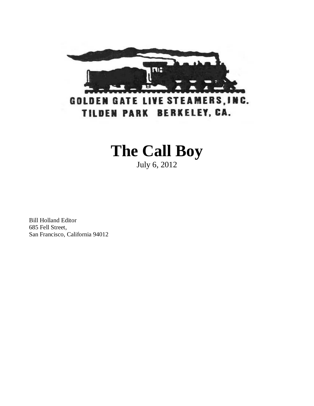

# **The Call Boy**

July 6, 2012

Bill Holland Editor 685 Fell Street, San Francisco, California 94012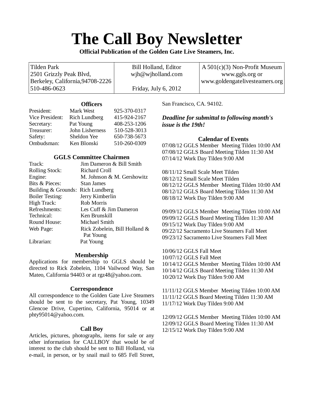# **The Call Boy Newsletter**

**Official Publication of the Golden Gate Live Steamers, Inc.**

| Tilden Park                      | Bill Holland, Editor     | $A\,501(c)(3)$ Non-Profit Museum |
|----------------------------------|--------------------------|----------------------------------|
| 2501 Grizzly Peak Blvd,          | $w$ jh $@$ wjholland.com | www.ggls.org or                  |
| Berkeley, California, 94708-2226 |                          | www.goldengatelivesteamers.org   |
| $ 510-486-0623 $                 | Friday, July 6, $2012$   |                                  |

# **Officers**

| President:      | Mark West            | 925-370-0317 |
|-----------------|----------------------|--------------|
| Vice President: | <b>Rich Lundberg</b> | 415-924-2167 |
| Secretary:      | Pat Young            | 408-253-1206 |
| Treasurer:      | John Lisherness      | 510-528-3013 |
| Safety:         | Sheldon Yee          | 650-738-5673 |
| Ombudsman:      | Ken Blonski          | 510-260-0309 |

# **GGLS Committee Chairmen**

| Track:                            | Jim Dameron & Bill Smith      |
|-----------------------------------|-------------------------------|
| <b>Rolling Stock:</b>             | Richard Croll                 |
| Engine:                           | M. Johnson & M. Gershowitz    |
| Bits & Pieces:                    | Stan James                    |
| Building & Grounds: Rich Lundberg |                               |
| <b>Boiler Testing:</b>            | Jerry Kimberlin               |
| High Track:                       | Rob Morris                    |
| Refreshments:                     | Les Cuff & Jim Dameron        |
| Technical:                        | Ken Brunskill                 |
| Round House:                      | Michael Smith                 |
| Web Page:                         | Rick Zobelein, Bill Holland & |
|                                   | Pat Young                     |
| Librarian:                        | Pat Young                     |

# **Membership**

Applications for membership to GGLS should be directed to Rick Zobelein, 1104 Vailwood Way, San Mateo, California 94403 or at [rgz48@yahoo.com.](mailto:rgz48@yahoo.com)

### **Correspondence**

All correspondence to the Golden Gate Live Steamers should be sent to the secretary, Pat Young, 10349 Glencoe Drive, Cupertino, California, 95014 or at phty95014@yahoo.com.

### **Call Boy**

Articles, pictures, photographs, items for sale or any other information for CALLBOY that would be of interest to the club should be sent to Bill Holland, via e-mail, in person, or by snail mail to 685 Fell Street, San Francisco, CA. 94102.

*Deadline for submittal to following month's issue is the 19th!*

# **Calendar of Events**

07/08/12 GGLS Member Meeting Tilden 10:00 AM 07/08/12 GGLS Board Meeting Tilden 11:30 AM 07/14/12 Work Day Tilden 9:00 AM

08/11/12 Small Scale Meet Tilden 08/12/12 Small Scale Meet Tilden 08/12/12 GGLS Member Meeting Tilden 10:00 AM 08/12/12 GGLS Board Meeting Tilden 11:30 AM 08/18/12 Work Day Tilden 9:00 AM

09/09/12 GGLS Member Meeting Tilden 10:00 AM 09/09/12 GGLS Board Meeting Tilden 11:30 AM 09/15/12 Work Day Tilden 9:00 AM 09/22/12 Sacramento Live Steamers Fall Meet 09/23/12 Sacramento Live Steamers Fall Meet

10/06/12 GGLS Fall Meet 10/07/12 GGLS Fall Meet 10/14/12 GGLS Member Meeting Tilden 10:00 AM 10/14/12 GGLS Board Meeting Tilden 11:30 AM 10/20/12 Work Day Tilden 9:00 AM

11/11/12 GGLS Member Meeting Tilden 10:00 AM 11/11/12 GGLS Board Meeting Tilden 11:30 AM 11/17/12 Work Day Tilden 9:00 AM

12/09/12 GGLS Member Meeting Tilden 10:00 AM 12/09/12 GGLS Board Meeting Tilden 11:30 AM 12/15/12 Work Day Tilden 9:00 AM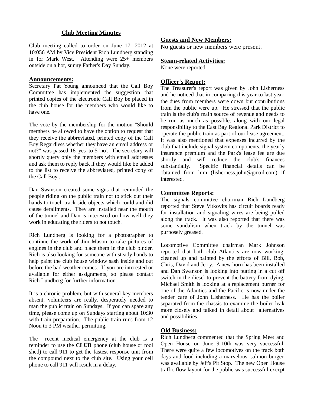# **Club Meeting Minutes**

Club meeting called to order on June 17, 2012 at 10:056 AM by Vice President Rich Lundberg standing in for Mark West. Attending were 25+ members outside on a hot, sunny Father's Day Sunday.

## **Announcements:**

Secretary Pat Young announced that the Call Boy Committee has implemented the suggestion that printed copies of the electronic Call Boy be placed in the club house for the members who would like to have one.

The vote by the membership for the motion "Should members be allowed to have the option to request that they receive the abbreviated, printed copy of the Call Boy Regardless whether they have an email address or not?" was passed 18 'yes' to 5 'no'. The secretary will shortly query only the members with email addresses and ask them to reply back if they would like be added to the list to receive the abbreviated, printed copy of the Call Boy .

Dan Swanson created some signs that reminded the people riding on the public train not to stick out their hands to touch track side objects which could and did cause derailments. They are installed near the mouth of the tunnel and Dan is interested on how well they work in educating the riders to not touch.

Rich Lundberg is looking for a photographer to continue the work of Jim Mason to take pictures of engines in the club and place them in the club binder. Rich is also looking for someone with steady hands to help paint the club house window sash inside and out before the bad weather comes. If you are interested or available for either assignments, so please contact Rich Lundberg for further information.

It is a chronic problem, but with several key members absent, volunteers are really, desperately needed to man the public train on Sundays. If you can spare any time, please come up on Sundays starting about 10:30 with train preparation. The public train runs from 12 Noon to 3 PM weather permitting.

The recent medical emergency at the club is a reminder to use the **CLUB** phone (club house or tool shed) to call 911 to get the fastest response unit from the compound next to the club site. Using your cell phone to call 911 will result in a delay.

# **Guests and New Members:**

No guests or new members were present.

# **Steam-related Activities:**

None were reported.

# **Officer's Report:**

The Treasurer's report was given by John Lisherness and he noticed that in comparing this year to last year, the dues from members were down but contributions from the public were up. He stressed that the public train is the club's main source of revenue and needs to be run as much as possible, along with our legal responsibility to the East Bay Regional Park District to operate the public train as part of our lease agreement. It was also mentioned that expenses incurred by the club that include signal system components, the yearly insurance premium and the Park's lease fee are due shortly and will reduce the club's finances substantially. Specific financial details can be obtained from him (lisherness.john@gmail.com) if interested.

# **Committee Reports:**

The signals committee chairman Rich Lundberg reported that Steve Vitkovits has circuit boards ready for installation and signaling wires are being pulled along the track. It was also reported that there was some vandalism when track by the tunnel was purposely greased.

Locomotive Committee chairman Mark Johnson reported that both club Atlantics are now working, cleaned up and painted by the efforts of Bill, Bob, Chris, David and Jerry. A new horn has been installed and Dan Swanson is looking into putting in a cut off switch in the diesel to prevent the battery from dying. Michael Smith is looking at a replacement burner for one of the Atlantics and the Pacific is now under the tender care of John Lisherness. He has the boiler separated from the chassis to examine the boiler leak more closely and talked in detail about alternatives and possibilities.

# **Old Business:**

Rich Lundberg commented that the Spring Meet and Open House on June 9-10th was very successful. There were quite a few locomotives on the track both days and food including a marvelous 'salmon burger' was available by Jeff's Pit Stop. The new Open House traffic flow layout for the public was successful except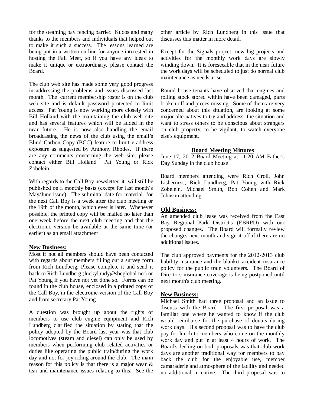for the steaming bay fencing barrier. Kudos and many thanks to the members and individuals that helped out to make it such a success. The lessons learned are being put in a written outline for anyone interested in hosting the Fall Meet, so if you have any ideas to make it unique or extraordinary, please contact the Board.

The club web site has made some very good progress in addressing the problems and issues discussed last month. The current membership roster is on the club web site and is default password protected to limit access. Pat Young is now working more closely with Bill Holland with the maintaining the club web site and has several features which will be added in the near future. He is now also handling the email broadcasting the news of the club using the email's Blind Carbon Copy (BCC) feature to limit e-address exposure as suggested by Anthony Rhodes. If there are any comments concerning the web site, please contact either Bill Holland Pat Young or Rick Zobelein.

With regards to the Call Boy newsletter, it will still be published on a monthly basis (except for last month's May/June issue). The submittal date for material for the next Call Boy is a week after the club meeting or the 19th of the month, which ever is later. Whenever possible, the printed copy will be mailed no later than one week before the next club meeting and that the electronic version be available at the same time (or earlier) as an email attachment

# **New Business:**

Most if not all members should have been contacted with regards about members filling out a survey form from Rich Lundberg. Please complete it and send it back to Rich Lundberg (luckylundy@sbcglobal.net) or Pat Young if you have not yet done so. Forms can be found in the club house, enclosed in a printed copy of the Call Boy, in the electronic version of the Call Boy and from secretary Pat Young.

A question was brought up about the rights of members to use club engine equipment and Rich Lundberg clarified the situation by stating that the policy adopted by the Board last year was that club locomotives (steam and diesel) can only be used by members when performing club related activities or duties like operating the public train/during the work day and not for joy riding around the club. The main reason for this policy is that there is a major wear & tear and maintenance issues relating to this. See the other article by Rich Lundberg in this issue that discusses this matter in more detail.

Except for the Signals project, new big projects and activities for the monthly work days are slowly winding down. It is foreseeable that in the near future the work days will be scheduled to just do normal club maintenance as needs arise.

Round house tenants have observed that engines and rolling stock stored within have been damaged, parts broken off and pieces missing. Some of them are very concerned about this situation, are looking at some major alternatives to try and address the situation and want to stress others to be conscious about strangers on club property, to be vigilant, to watch everyone else's equipment.

# **Board Meeting Minutes**

June 17, 2012 Board Meeting at 11:20 AM Father's Day Sunday in the club house

Board members attending were Rich Croll, John Lisherness, Rich Lundberg, Pat Young with Rick Zobelein, Michael Smith, Bob Cohen and Mark Johnson attending.

# **Old Business:**

An amended club lease was received from the East Bay Regional Park District's (EBRPD) with our proposed changes. The Board will formally review the changes next month and sign it off if there are no additional issues.

The club approved payments for the 2012-2013 club liability insurance and the blanket accident insurance policy for the public train volunteers. The Board of Directors insurance coverage is being postponed until next month's club meeting.

# **New Business:**

Michael Smith had three proposal and an issue to discuss with the Board. The first proposal was a familiar one where he wanted to know if the club would reimburse for the purchase of donuts during work days. His second proposal was to have the club pay for lunch to members who come on the monthly work day and put in at least 4 hours of work. The Board's feeling on both proposals was that club work days are another traditional way for members to pay back the club for the enjoyable use, member camaraderie and atmosphere of the facility and needed no additional incentive. The third proposal was to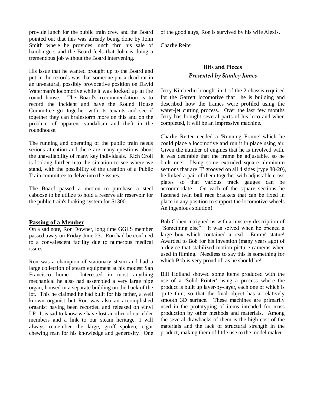provide lunch for the public train crew and the Board pointed out that this was already being done by John Smith where he provides lunch thru his sale of hamburgers and the Board feels that John is doing a tremendous job without the Board intervening.

His issue that he wanted brought up to the Board and put in the records was that someone put a dead rat in an un-natural, possibly provocative position on David Waterman's locomotive while it was locked up in the round house. The Board's recommendation is to record the incident and have the Round House Committee get together with its tenants and see if together they can brainstorm more on this and on the problem of apparent vandalism and theft in the roundhouse.

The running and operating of the public train needs serious attention and there are many questions about the unavailability of many key individuals. Rich Croll is looking further into the situation to see where we stand, with the possibility of the creation of a Public Train committee to delve into the issues.

The Board passed a motion to purchase a steel caboose to be utilize to hold a reserve air reservoir for the public train's braking system for \$1300.

# **Passing of a Member**

On a sad note, Ron Downer, long time GGLS member passed away on Friday June 23. Ron had be confined to a convalescent facility due to numerous medical issues.

Ron was a champion of stationary steam and had a large collection of steam equipment at his modest San Francisco home. Interested in most anything mechanical he also had assembled a very large pipe organ, housed in a separate building on the back of the lot. This he claimed he had built for his father, a well known organist but Ron was also an accomplished organist having been recorded and released on vinyl LP. It is sad to know we have lost another of our elder members and a link to our steam heritage. I will always remember the large, gruff spoken, cigar chewing man for his knowledge and generosity. One of the good guys, Ron is survived by his wife Alexis.

Charlie Reiter

# **Bits and Pieces Presented by Stanley James**

Jerry Kimberlin brought in 1 of the 2 chassis required for the Garrett locomotive that he is building and described how the frames were profiled using the water-jet cutting process. Over the last few months Jerry has brought several parts of his loco and when completed, it will be an impressive machine.

Charlie Reiter needed a 'Running Frame' which he could place a locomotive and run it in place using air. Given the number of engines that he is involved with, it was desirable that the frame be adjustable, so he built one! Using some extruded square aluminum sections that are 'T' grooved on all 4 sides (type 80-20), he linked a pair of them together with adjustable cross plates so that various track gauges can be accommodate. On each of the square sections he fastened twin ball race brackets that can be fixed in place in any position to support the locomotive wheels. An ingenious solution!

Bob Cohen intrigued us with a mystery description of "Something else"! It was solved when he opened a large box which contained a real 'Emmy' statue! Awarded to Bob for his invention (many years ago) of a device that stabilized motion picture cameras when used in filming. Needless to say this is something for which Bob is very proud of, as he should be!

Bill Holland showed some items produced with the use of a 'Solid Printer' using a process where the product is built up layer-by-layer, each one of which is quite thin, so that the final object has a relatively smooth 3D surface. These machines are primarily used in the prototyping of items intended for mass production by other methods and materials. Among the several drawbacks of them is the high cost of the materials and the lack of structural strength in the product, making them of little use to the model maker.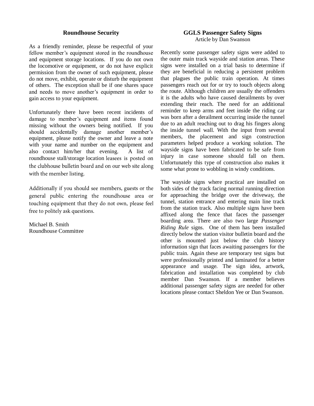# **Roundhouse Security**

As a friendly reminder, please be respectful of your fellow member's equipment stored in the roundhouse and equipment storage locations. If you do not own the locomotive or equipment, or do not have explicit permission from the owner of such equipment, please do not move, exhibit, operate or disturb the equipment of others. The exception shall be if one shares space and needs to move another's equipment in order to gain access to your equipment.

Unfortunately there have been recent incidents of damage to member's equipment and items found missing without the owners being notified. If you should accidentally damage another member's equipment, please notify the owner and leave a note with your name and number on the equipment and also contact him/her that evening. A list of roundhouse stall/storage location leasees is posted on the clubhouse bulletin board and on our web site along with the member listing.

Additionally if you should see members, guests or the general public entering the roundhouse area or touching equipment that they do not own, please feel free to politely ask questions.

Michael B. Smith Roundhouse Committee

# **GGLS Passenger Safety Signs** Article by Dan Swanson

Recently some passenger safety signs were added to the outer main track wayside and station areas. These signs were installed on a trial basis to determine if they are beneficial in reducing a persistent problem that plagues the public train operation. At times passengers reach out for or try to touch objects along the route. Although children are usually the offenders it is the adults who have caused derailments by over extending their reach. The need for an additional reminder to keep arms and feet inside the riding car was born after a derailment occurring inside the tunnel due to an adult reaching out to drag his fingers along the inside tunnel wall. With the input from several members, the placement and sign construction parameters helped produce a working solution. The wayside signs have been fabricated to be safe from injury in case someone should fall on them. Unfortunately this type of construction also makes it some what prone to wobbling in windy conditions.

The wayside signs where practical are installed on both sides of the track facing normal running direction for approaching the bridge over the driveway, the tunnel, station entrance and entering main line track from the station track. Also multiple signs have been affixed along the fence that faces the passenger boarding area. There are also two large *Passenger Riding Rule* signs. One of them has been installed directly below the station visitor bulletin board and the other is mounted just below the club history information sign that faces awaiting passengers for the public train. Again these are temporary test signs but were professionally printed and laminated for a better appearance and usage. The sign idea, artwork, fabrication and installation was completed by club member Dan Swanson. If a member believes additional passenger safety signs are needed for other locations please contact Sheldon Yee or Dan Swanson.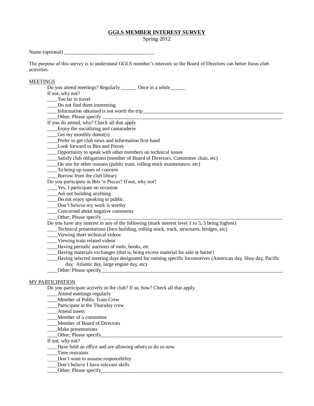### **GGLS MEMBER INTEREST SURVEY**

Spring 2012

Name (optional)  $\frac{\qquad \qquad }{\qquad \qquad }$ 

The purpose of this survey is to understand GGLS member's interests so the Board of Directors can better focus club activities.

#### **MEETINGS**

Do you attend meetings? Regularly \_\_\_\_\_\_\_ Once in a while\_\_\_\_\_\_ If not, why not? Too far to travel Do not find them interesting \_\_\_\_Information obtained is not worth the trip\_\_\_\_\_\_\_\_\_\_\_\_\_\_\_\_\_\_\_\_\_\_\_\_\_\_\_\_\_\_\_\_\_\_\_\_\_\_\_\_\_\_\_\_\_\_\_\_\_\_\_\_\_\_\_ Other; Please specify If you do attend, why? Check all that apply **Enjoy** the socializing and camaraderie  $\qquad$  Get my monthly donut(s) \_\_\_\_Prefer to get club news and information first hand \_\_\_\_Look forward to Bits and Pieces \_\_\_\_Opportunity to speak with other members on technical issues Satisfy club obligations (member of Board of Directors, Committee chair, etc) \_\_\_\_On site for other reasons (public train, rolling stock maintenance, etc) \_\_\_\_To bring up issues of concern \_\_\_\_Borrow from the club library Do you participate in Bits 'n Pieces? If not, why not? \_\_\_\_Yes, I participate on occasion \_\_\_\_Am not building anything \_\_\_\_Do not enjoy speaking in public \_\_\_\_Don't believe my work is worthy \_\_\_\_Concerned about negative comments \_\_\_\_Other; Please specify \_\_\_\_\_\_\_\_\_\_\_\_\_\_\_\_\_\_\_\_\_\_\_\_\_\_\_\_\_\_\_\_\_\_\_\_\_\_\_\_\_\_\_\_\_\_\_\_\_\_\_\_\_\_\_\_\_\_\_\_\_\_\_\_\_\_\_\_\_\_ Do you have any interest in any of the following (mark interest level 1 to 5, 5 being highest) \_\_\_\_Technical presentations (loco building, rolling stock, track, structures, bridges, etc) \_\_\_\_Viewing short technical videos \_\_\_\_Viewing train related videos \_\_\_\_Having periodic auctions of tools, books, etc \_\_\_\_Having materials exchanges (that is, bring excess material for sale or barter) \_\_\_\_Having selected meeting days designated for running specific locomotives (American day, Shay day, Pacific day, Atlantic day, large engine day, etc) Other; Please specify MY PARTICIPATION Do you participate actively in the club? If so, how? Check all that apply.

\_\_\_\_Attend meetings regularly

- \_\_\_\_Member of Public Train Crew \_\_\_\_Participate in the Thursday crew
- \_\_\_\_Attend meets
- \_\_\_\_Member of a committee
- \_\_\_\_Member of Board of Directors
- \_\_\_\_Make presentations
- Other; Please specify

If not, why not?

- \_\_\_\_Have held an office and are allowing others to do so now
- \_\_\_\_Time restraints
- Don't want to assume responsibility
- Don't believe I have relevant skills
- Other; Please specify